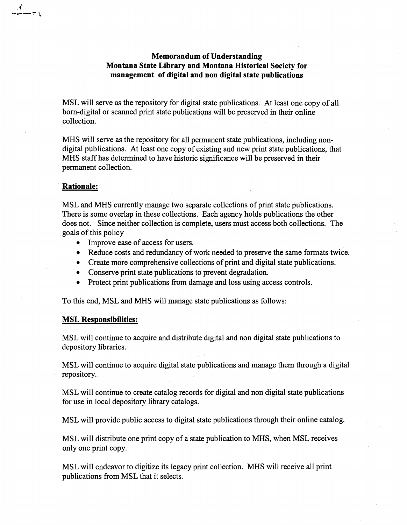## Memorandum of Understanding Montana State Library and Montana Historical Society for management of digital and non digital state publications

MSL will serve as the repository for digital state publications. At least one copy of all born-digital or scanned print state publications will be preserved in their online collection.

MRS will serve as the repository for all permanent state publications, including nondigital publications. At least one copy of existing and new print state publications, that MRS staff has determined to have historic significance will be preserved in their permanent collection.

## Rationale:

 $\frac{1}{2}$ 

MSL and MHS currently manage two separate collections of print state publications. There is some overlap in these collections. Each agency holds publications the other does not. Since neither collection is complete, users must access both collections. The goals of this policy

- Improve ease of access for users.
- Reduce costs and redundancy of work needed to preserve the same formats twice.
- Create more comprehensive collections of print and digital state publications.
- Conserve print state publications to prevent degradation.
- Protect print publications from damage and loss using access controls.

To this end, MSL and MHS will manage state publications as follows:

## MSL Responsibilities:

MSL will continue to acquire and distribute digital and non digital state publications to depository libraries.

MSL will continue to acquire digital state publications and manage them through a digital repository.

MSL" will continue to create catalog records for digital and non digital state publications for use in local depository library catalogs.

MSL will provide public access to digital state publications through their online catalog.

MSL will distribute one print copy of a state publication to MRS, when MSL receives only one print copy.

MSL will endeavor to digitize its legacy print collection. MRS will receive all print publications from MSL that it selects.